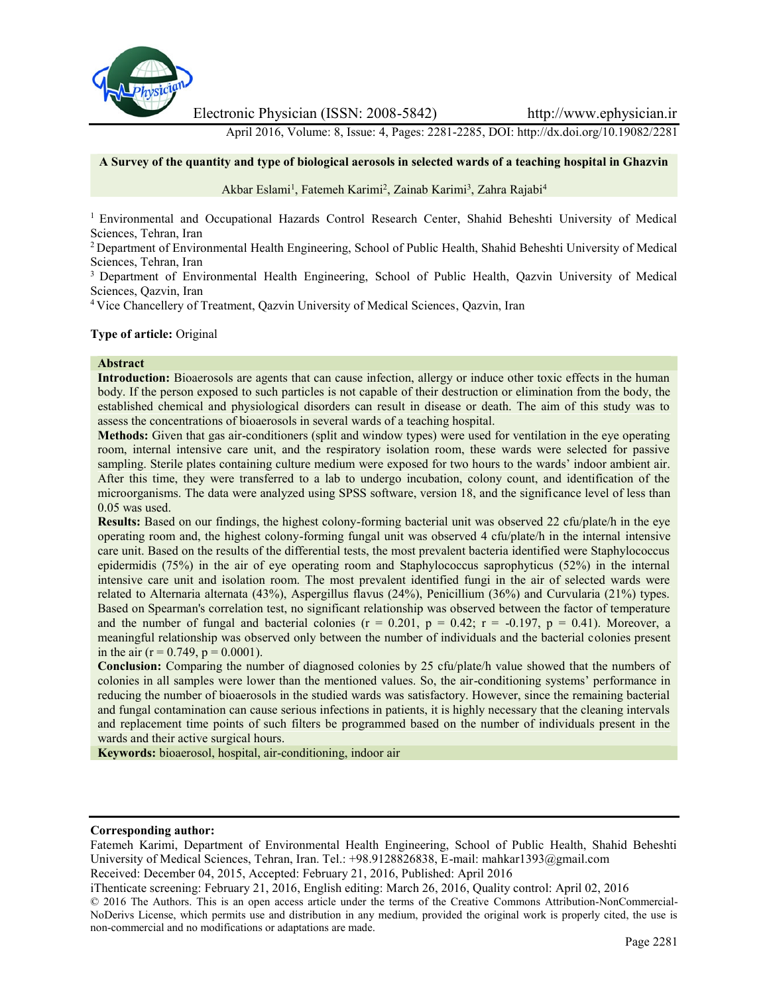

Electronic Physician (ISSN: 2008-5842) http://www.ephysician.ir

April 2016, Volume: 8, Issue: 4, Pages: 2281-2285, DOI: http://dx.doi.org/10.19082/2281

#### **A Survey of the quantity and type of biological aerosols in selected wards of a teaching hospital in Ghazvin**

### Akbar Eslami<sup>1</sup>, Fatemeh Karimi<sup>2</sup>, Zainab Karimi<sup>3</sup>, Zahra Rajabi<sup>4</sup>

<sup>1</sup> Environmental and Occupational Hazards Control Research Center, Shahid Beheshti University of Medical Sciences, Tehran, Iran

<sup>2</sup> Department of Environmental Health Engineering, School of Public Health, Shahid Beheshti University of Medical Sciences, Tehran, Iran

<sup>3</sup> Department of Environmental Health Engineering, School of Public Health, Qazvin University of Medical Sciences, Qazvin, Iran

<sup>4</sup> Vice Chancellery of Treatment, Qazvin University of Medical Sciences, Qazvin, Iran

#### **Type of article:** Original

#### **Abstract**

**Introduction:** Bioaerosols are agents that can cause infection, allergy or induce other toxic effects in the human body. If the person exposed to such particles is not capable of their destruction or elimination from the body, the established chemical and physiological disorders can result in disease or death. The aim of this study was to assess the concentrations of bioaerosols in several wards of a teaching hospital.

**Methods:** Given that gas air-conditioners (split and window types) were used for ventilation in the eye operating room, internal intensive care unit, and the respiratory isolation room, these wards were selected for passive sampling. Sterile plates containing culture medium were exposed for two hours to the wards' indoor ambient air. After this time, they were transferred to a lab to undergo incubation, colony count, and identification of the microorganisms. The data were analyzed using SPSS software, version 18, and the significance level of less than 0.05 was used.

**Results:** Based on our findings, the highest colony-forming bacterial unit was observed 22 cfu/plate/h in the eye operating room and, the highest colony-forming fungal unit was observed 4 cfu/plate/h in the internal intensive care unit. Based on the results of the differential tests, the most prevalent bacteria identified were Staphylococcus epidermidis (75%) in the air of eye operating room and Staphylococcus saprophyticus (52%) in the internal intensive care unit and isolation room. The most prevalent identified fungi in the air of selected wards were related to Alternaria alternata (43%), Aspergillus flavus (24%), Penicillium (36%) and Curvularia (21%) types. Based on Spearman's correlation test, no significant relationship was observed between the factor of temperature and the number of fungal and bacterial colonies ( $r = 0.201$ ,  $p = 0.42$ ;  $r = -0.197$ ,  $p = 0.41$ ). Moreover, a meaningful relationship was observed only between the number of individuals and the bacterial colonies present in the air ( $r = 0.749$ ,  $p = 0.0001$ ).

**Conclusion:** Comparing the number of diagnosed colonies by 25 cfu/plate/h value showed that the numbers of colonies in all samples were lower than the mentioned values. So, the air-conditioning systems' performance in reducing the number of bioaerosols in the studied wards was satisfactory. However, since the remaining bacterial and fungal contamination can cause serious infections in patients, it is highly necessary that the cleaning intervals and replacement time points of such filters be programmed based on the number of individuals present in the wards and their active surgical hours.

**Keywords:** bioaerosol, hospital, air-conditioning, indoor air

#### **Corresponding author:**

Fatemeh Karimi, Department of Environmental Health Engineering, School of Public Health, Shahid Beheshti University of Medical Sciences, Tehran, Iran. Tel.: +98.9128826838, E-mail: mahkar1393@gmail.com

Received: December 04, 2015, Accepted: February 21, 2016, Published: April 2016

iThenticate screening: February 21, 2016, English editing: March 26, 2016, Quality control: April 02, 2016

© 2016 The Authors. This is an open access article under the terms of the Creative Commons Attribution-NonCommercial- NoDerivs License, which permits use and distribution in any medium, provided the original work is properly cited, the use is non-commercial and no modifications or adaptations are made.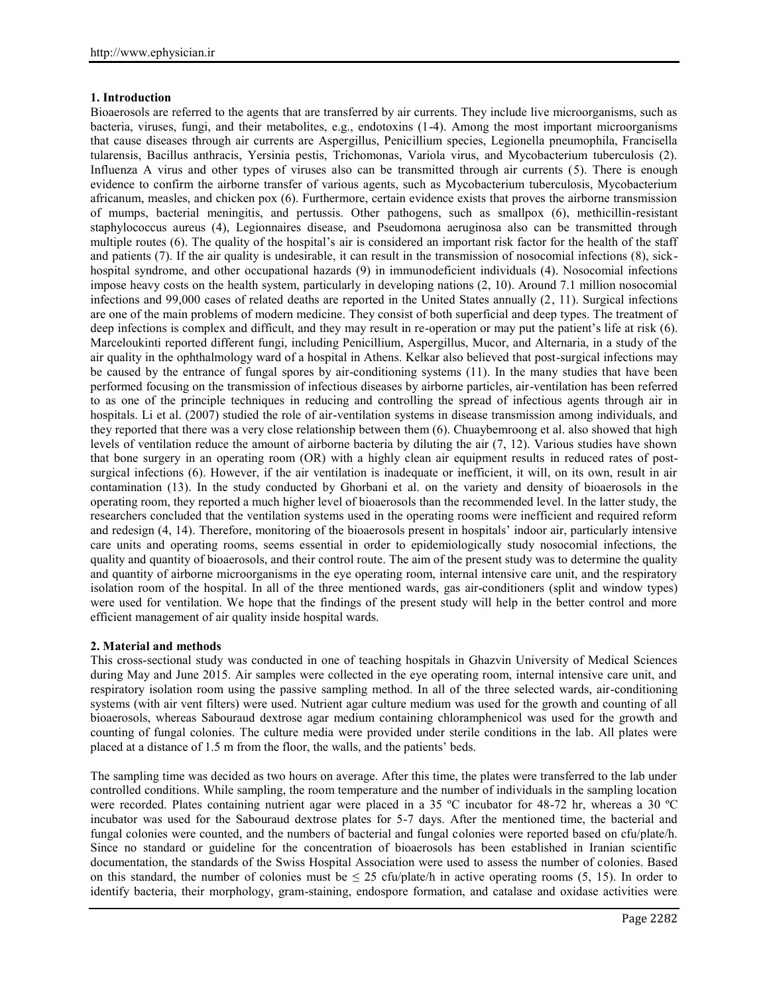# **1. Introduction**

Bioaerosols are referred to the agents that are transferred by air currents. They include live microorganisms, such as bacteria, viruses, fungi, and their metabolites, e.g., endotoxins (1-4). Among the most important microorganisms that cause diseases through air currents are Aspergillus, Penicillium species, Legionella pneumophila, Francisella tularensis, Bacillus anthracis, Yersinia pestis, Trichomonas, Variola virus, and Mycobacterium tuberculosis (2). Influenza A virus and other types of viruses also can be transmitted through air currents (5). There is enough evidence to confirm the airborne transfer of various agents, such as Mycobacterium tuberculosis, Mycobacterium africanum, measles, and chicken pox (6). Furthermore, certain evidence exists that proves the airborne transmission of mumps, bacterial meningitis, and pertussis. Other pathogens, such as smallpox (6), methicillin-resistant staphylococcus aureus (4), Legionnaires disease, and Pseudomona aeruginosa also can be transmitted through multiple routes (6). The quality of the hospital's air is considered an important risk factor for the health of the staff and patients (7). If the air quality is undesirable, it can result in the transmission of nosocomial infections (8), sick hospital syndrome, and other occupational hazards (9) in immunodeficient individuals (4). Nosocomial infections impose heavy costs on the health system, particularly in developing nations (2, 10). Around 7.1 million nosocomial infections and 99,000 cases of related deaths are reported in the United States annually (2, 11). Surgical infections are one of the main problems of modern medicine. They consist of both superficial and deep types. The treatment of deep infections is complex and difficult, and they may result in re-operation or may put the patient's life at risk (6). Marceloukinti reported different fungi, including Penicillium, Aspergillus, Mucor, and Alternaria, in a study of the air quality in the ophthalmology ward of a hospital in Athens. Kelkar also believed that post-surgical infections may be caused by the entrance of fungal spores by air-conditioning systems (11). In the many studies that have been performed focusing on the transmission of infectious diseases by airborne particles, air-ventilation has been referred to as one of the principle techniques in reducing and controlling the spread of infectious agents through air in hospitals. Li et al. (2007) studied the role of air-ventilation systems in disease transmission among individuals, and they reported that there was a very close relationship between them (6). Chuaybemroong et al. also showed that high levels of ventilation reduce the amount of airborne bacteria by diluting the air (7, 12). Various studies have shown that bone surgery in an operating room (OR) with a highly clean air equipment results in reduced rates of post surgical infections (6). However, if the air ventilation is inadequate or inefficient, it will, on its own, result in air contamination (13). In the study conducted by Ghorbani et al. on the variety and density of bioaerosols in the operating room, they reported a much higher level of bioaerosols than the recommended level. In the latter study, the researchers concluded that the ventilation systems used in the operating rooms were inefficient and required reform and redesign (4, 14). Therefore, monitoring of the bioaerosols present in hospitals' indoor air, particularly intensive care units and operating rooms, seems essential in order to epidemiologically study nosocomial infections, the quality and quantity of bioaerosols, and their control route. The aim of the present study was to determine the quality and quantity of airborne microorganisms in the eye operating room, internal intensive care unit, and the respiratory isolation room of the hospital. In all of the three mentioned wards, gas air-conditioners (split and window types) were used for ventilation. We hope that the findings of the present study will help in the better control and more efficient management of air quality inside hospital wards.

# **2. Material and methods**

This cross-sectional study was conducted in one of teaching hospitals in Ghazvin University of Medical Sciences during May and June 2015. Air samples were collected in the eye operating room, internal intensive care unit, and respiratory isolation room using the passive sampling method. In all of the three selected wards, air-conditioning systems (with air vent filters) were used. Nutrient agar culture medium was used for the growth and counting of all bioaerosols, whereas Sabouraud dextrose agar medium containing chloramphenicol was used for the growth and counting of fungal colonies. The culture media were provided under sterile conditions in the lab. All plates were placed at a distance of 1.5 m from the floor, the walls, and the patients' beds.

The sampling time was decided as two hours on average. After this time, the plates were transferred to the lab under controlled conditions. While sampling, the room temperature and the number of individuals in the sampling location were recorded. Plates containing nutrient agar were placed in a 35 ºC incubator for 48-72 hr, whereas a 30 ºC incubator was used for the Sabouraud dextrose plates for 5-7 days. After the mentioned time, the bacterial and fungal colonies were counted, and the numbers of bacterial and fungal colonies were reported based on cfu/plate/h. Since no standard or guideline for the concentration of bioaerosols has been established in Iranian scientific documentation, the standards of the Swiss Hospital Association were used to assess the number of colonies. Based on this standard, the number of colonies must be  $\leq 25$  cfu/plate/h in active operating rooms (5, 15). In order to identify bacteria, their morphology, gram-staining, endospore formation, and catalase and oxidase activities were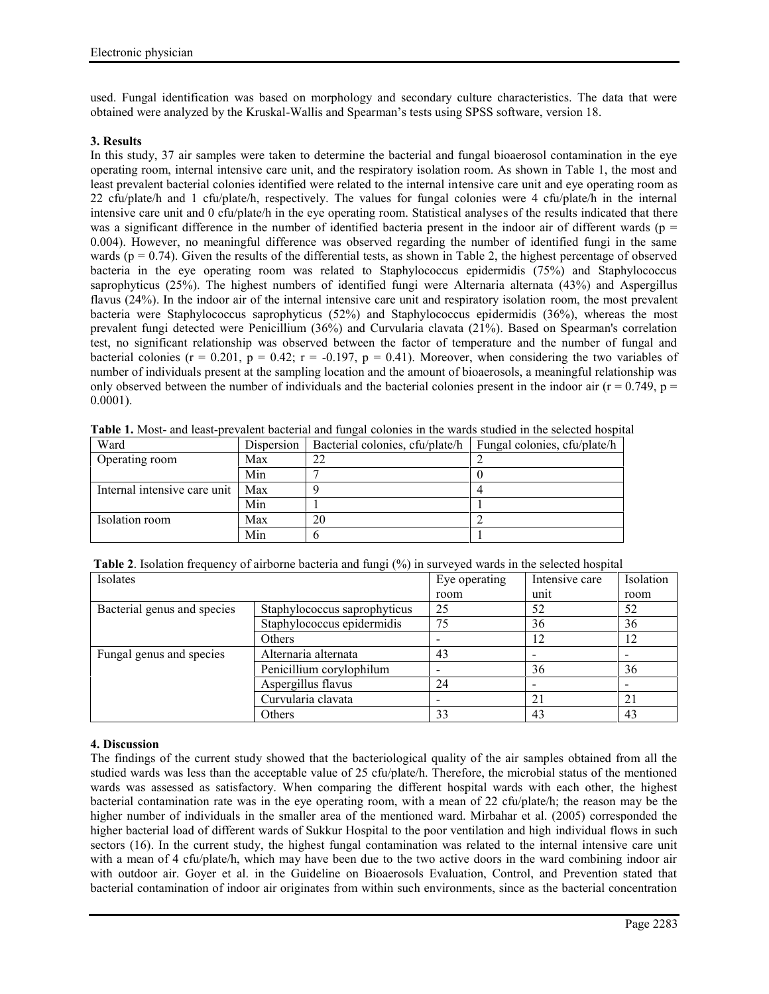used. Fungal identification was based on morphology and secondary culture characteristics. The data that were obtained were analyzed by the Kruskal-Wallis and Spearman's tests using SPSS software, version 18.

### **3. Results**

In this study, 37 air samples were taken to determine the bacterial and fungal bioaerosol contamination in the eye operating room, internal intensive care unit, and the respiratory isolation room. As shown in Table 1, the most and least prevalent bacterial colonies identified were related to the internal intensive care unit and eye operating room as 22 cfu/plate/h and 1 cfu/plate/h, respectively. The values for fungal colonies were 4 cfu/plate/h in the internal intensive care unit and 0 cfu/plate/h in the eye operating room. Statistical analyses of the results indicated that there was a significant difference in the number of identified bacteria present in the indoor air of different wards ( $p =$ 0.004). However, no meaningful difference was observed regarding the number of identified fungi in the same wards ( $p = 0.74$ ). Given the results of the differential tests, as shown in Table 2, the highest percentage of observed bacteria in the eye operating room was related to Staphylococcus epidermidis (75%) and Staphylococcus saprophyticus (25%). The highest numbers of identified fungi were Alternaria alternata (43%) and Aspergillus flavus (24%). In the indoor air of the internal intensive care unit and respiratory isolation room, the most prevalent bacteria were Staphylococcus saprophyticus (52%) and Staphylococcus epidermidis (36%), whereas the most prevalent fungi detected were Penicillium (36%) and Curvularia clavata (21%). Based on Spearman's correlation test, no significant relationship was observed between the factor of temperature and the number of fungal and bacterial colonies ( $r = 0.201$ ,  $p = 0.42$ ;  $r = -0.197$ ,  $p = 0.41$ ). Moreover, when considering the two variables of number of individuals present at the sampling location and the amount of bioaerosols, a meaningful relationship was only observed between the number of individuals and the bacterial colonies present in the indoor air ( $r = 0.749$ ,  $p =$ 0.0001).

| Ward                         | Dispersion | Bacterial colonies, cfu/plate/h | Fungal colonies, cfu/plate/h |  |
|------------------------------|------------|---------------------------------|------------------------------|--|
| Operating room               | Max        | 22                              |                              |  |
|                              | Min        |                                 |                              |  |
| Internal intensive care unit | Max        |                                 |                              |  |
|                              | Min        |                                 |                              |  |
| Isolation room               | Max        | 20                              |                              |  |
|                              | Min        |                                 |                              |  |

**Table 1.** Most- and least-prevalent bacterial and fungal colonies in the wards studied in the selected hospital

**Table 2**. Isolation frequency of airborne bacteria and fungi (%) in surveyed wards in the selected hospital

| Isolates                    |                              | Eye operating | Intensive care | Isolation                |
|-----------------------------|------------------------------|---------------|----------------|--------------------------|
|                             |                              | room          | unit           | room                     |
| Bacterial genus and species | Staphylococcus saprophyticus | 25            | 52             | 52                       |
|                             | Staphylococcus epidermidis   | 75            | 36             | 36                       |
|                             | Others                       |               | 12             | 12                       |
| Fungal genus and species    | Alternaria alternata         | 43            |                | $\overline{\phantom{0}}$ |
|                             | Penicillium corylophilum     |               | 36             | 36                       |
|                             | Aspergillus flavus           | 24            | -              | -                        |
|                             | Curvularia clavata           |               | 21             | 21                       |
|                             | Others                       | 33            | 43             | 43                       |

# **4. Discussion**

The findings of the current study showed that the bacteriological quality of the air samples obtained from all the studied wards was less than the acceptable value of 25 cfu/plate/h. Therefore, the microbial status of the mentioned wards was assessed as satisfactory. When comparing the different hospital wards with each other, the highest bacterial contamination rate was in the eye operating room, with a mean of 22 cfu/plate/h; the reason may be the higher number of individuals in the smaller area of the mentioned ward. Mirbahar et al. (2005) corresponded the higher bacterial load of different wards of Sukkur Hospital to the poor ventilation and high individual flows in such sectors (16). In the current study, the highest fungal contamination was related to the internal intensive care unit with a mean of 4 cfu/plate/h, which may have been due to the two active doors in the ward combining indoor air with outdoor air. Goyer et al. in the Guideline on Bioaerosols Evaluation, Control, and Prevention stated that bacterial contamination of indoor air originates from within such environments, since as the bacterial concentration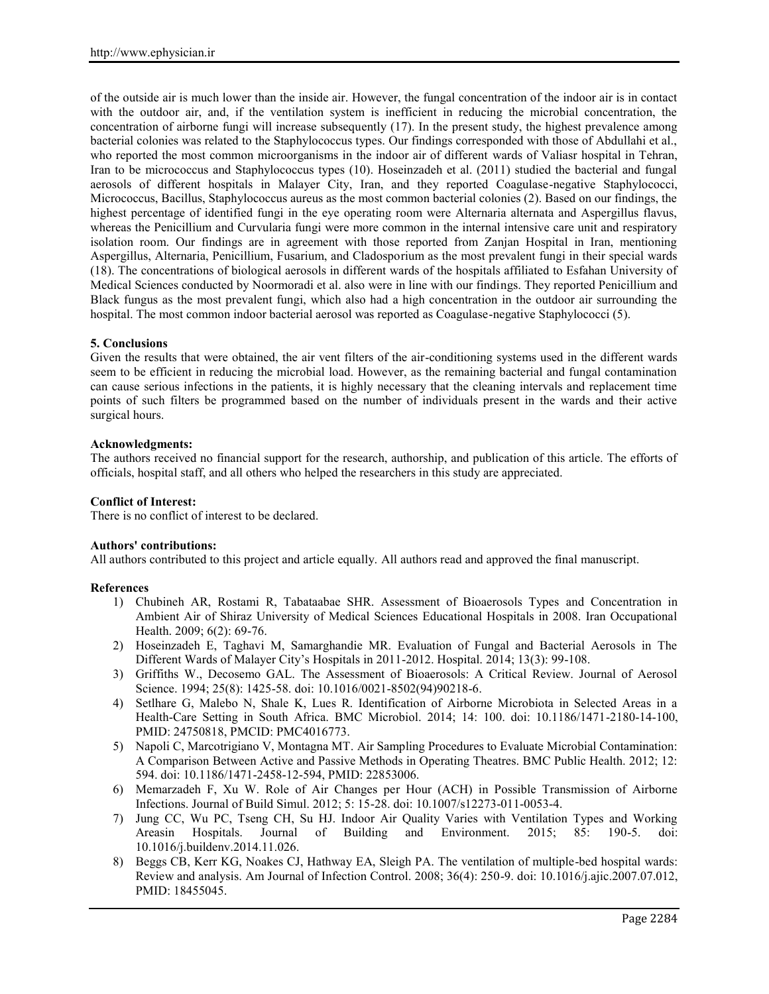of the outside air is much lower than the inside air. However, the fungal concentration of the indoor air is in contact with the outdoor air, and, if the ventilation system is inefficient in reducing the microbial concentration, the concentration of airborne fungi will increase subsequently (17). In the present study, the highest prevalence among bacterial colonies was related to the Staphylococcus types. Our findings corresponded with those of Abdullahi et al., who reported the most common microorganisms in the indoor air of different wards of Valiasr hospital in Tehran, Iran to be micrococcus and Staphylococcus types (10). Hoseinzadeh et al. (2011) studied the bacterial and fungal aerosols of different hospitals in Malayer City, Iran, and they reported Coagulase-negative Staphylococci, Micrococcus, Bacillus, Staphylococcus aureus as the most common bacterial colonies (2). Based on our findings, the highest percentage of identified fungi in the eye operating room were Alternaria alternata and Aspergillus flavus, whereas the Penicillium and Curvularia fungi were more common in the internal intensive care unit and respiratory isolation room. Our findings are in agreement with those reported from Zanjan Hospital in Iran, mentioning Aspergillus, Alternaria, Penicillium, Fusarium, and Cladosporium as the most prevalent fungi in their special wards (18). The concentrations of biological aerosols in different wards of the hospitals affiliated to Esfahan University of Medical Sciences conducted by Noormoradi et al. also were in line with our findings. They reported Penicillium and Black fungus as the most prevalent fungi, which also had a high concentration in the outdoor air surrounding the hospital. The most common indoor bacterial aerosol was reported as Coagulase-negative Staphylococci (5).

# **5. Conclusions**

Given the results that were obtained, the air vent filters of the air-conditioning systems used in the different wards seem to be efficient in reducing the microbial load. However, as the remaining bacterial and fungal contamination can cause serious infections in the patients, it is highly necessary that the cleaning intervals and replacement time points of such filters be programmed based on the number of individuals present in the wards and their active surgical hours.

# **Acknowledgments:**

The authors received no financial support for the research, authorship, and publication of this article. The efforts of officials, hospital staff, and all others who helped the researchers in this study are appreciated.

# **Conflict of Interest:**

There is no conflict of interest to be declared.

# **Authors' contributions:**

All authors contributed to this project and article equally. All authors read and approved the final manuscript.

# **References**

- 1) Chubineh AR, Rostami R, Tabataabae SHR. Assessment of Bioaerosols Types and Concentration in Ambient Air of Shiraz University of Medical Sciences Educational Hospitals in 2008. Iran Occupational Health. 2009; 6(2): 69-76.
- 2) Hoseinzadeh E, Taghavi M, Samarghandie MR. Evaluation of Fungal and Bacterial Aerosols in The Different Wards of Malayer City's Hospitals in 2011-2012. Hospital. 2014; 13(3): 99-108.
- 3) Griffiths W., Decosemo GAL. The Assessment of Bioaerosols: A Critical Review. Journal of Aerosol Science. 1994; 25(8): 1425-58. doi: 10.1016/0021-8502(94)90218-6.
- 4) Setlhare G, Malebo N, Shale K, Lues R. Identification of Airborne Microbiota in Selected Areas in a Health-Care Setting in South Africa. BMC Microbiol. 2014; 14: 100. doi: 10.1186/1471-2180-14-100, PMID: 24750818, PMCID: PMC4016773.
- 5) Napoli C, Marcotrigiano V, Montagna MT. Air Sampling Procedures to Evaluate Microbial Contamination: A Comparison Between Active and Passive Methods in Operating Theatres. BMC Public Health. 2012; 12: 594. doi: 10.1186/1471-2458-12-594, PMID: 22853006.
- 6) Memarzadeh F, Xu W. Role of Air Changes per Hour (ACH) in Possible Transmission of Airborne Infections. Journal of Build Simul. 2012; 5: 15-28. doi: 10.1007/s12273-011-0053-4.
- 7) Jung CC, Wu PC, Tseng CH, Su HJ. Indoor Air Quality Varies with Ventilation Types and Working Areasin Hospitals. Journal of Building and Environment. 2015; 85: 190-5. doi: 10.1016/j.buildenv.2014.11.026.
- 8) Beggs CB, Kerr KG, Noakes CJ, Hathway EA, Sleigh PA. The ventilation of multiple-bed hospital wards: Review and analysis. Am Journal of Infection Control. 2008; 36(4): 250-9. doi: 10.1016/j.ajic.2007.07.012, PMID: 18455045.